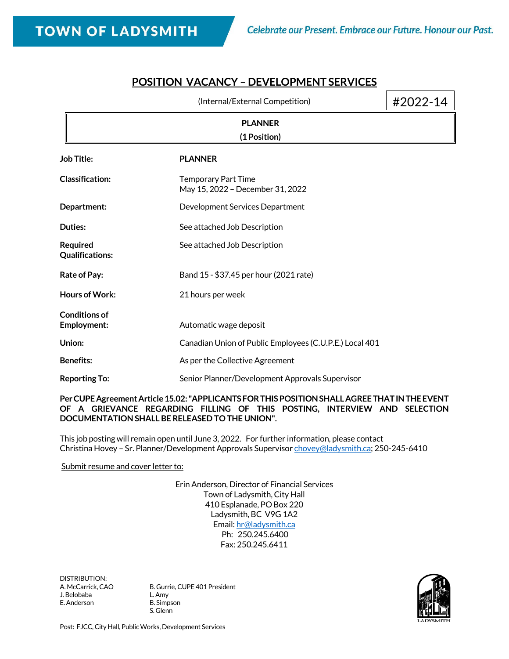## **POSITION VACANCY – DEVELOPMENT SERVICES**

|                                           | (Internal/External Competition)                                | #2022-14 |
|-------------------------------------------|----------------------------------------------------------------|----------|
|                                           | <b>PLANNER</b><br>(1 Position)                                 |          |
| <b>Job Title:</b>                         | <b>PLANNER</b>                                                 |          |
| <b>Classification:</b>                    | <b>Temporary Part Time</b><br>May 15, 2022 - December 31, 2022 |          |
| Department:                               | Development Services Department                                |          |
| Duties:                                   | See attached Job Description                                   |          |
| <b>Required</b><br><b>Qualifications:</b> | See attached Job Description                                   |          |
| <b>Rate of Pay:</b>                       | Band 15 - \$37.45 per hour (2021 rate)                         |          |
| <b>Hours of Work:</b>                     | 21 hours per week                                              |          |
| <b>Conditions of</b><br>Employment:       | Automatic wage deposit                                         |          |
| Union:                                    | Canadian Union of Public Employees (C.U.P.E.) Local 401        |          |
| <b>Benefits:</b>                          | As per the Collective Agreement                                |          |
| <b>Reporting To:</b>                      | Senior Planner/Development Approvals Supervisor                |          |

### **Per CUPE Agreement Article 15.02: "APPLICANTS FOR THIS POSITION SHALL AGREE THAT IN THE EVENT OF A GRIEVANCE REGARDING FILLING OF THIS POSTING, INTERVIEW AND SELECTION DOCUMENTATION SHALL BE RELEASED TO THE UNION".**

This job posting will remain open until June 3, 2022. For further information, please contact Christina Hovey - Sr. Planner/Development Approvals Superviso[r chovey@ladysmith.ca;](mailto:chovey@ladysmith.ca) 250-245-6410

### Submit resume and cover letter to:

Erin Anderson, Director of Financial Services Town of Ladysmith, City Hall 410 Esplanade, PO Box 220 Ladysmith, BC V9G 1A2 Email[: hr@ladysmith.ca](mailto:hr@ladysmith.ca) Ph: 250.245.6400 Fax: 250.245.6411

DISTRIBUTION:<br>A. McCarrick, CAO J. Belobaba L. Amy E. Anderson B. Simpson

B. Gurrie, CUPE 401 President S. Glenn



Post: FJCC, City Hall, Public Works, Development Services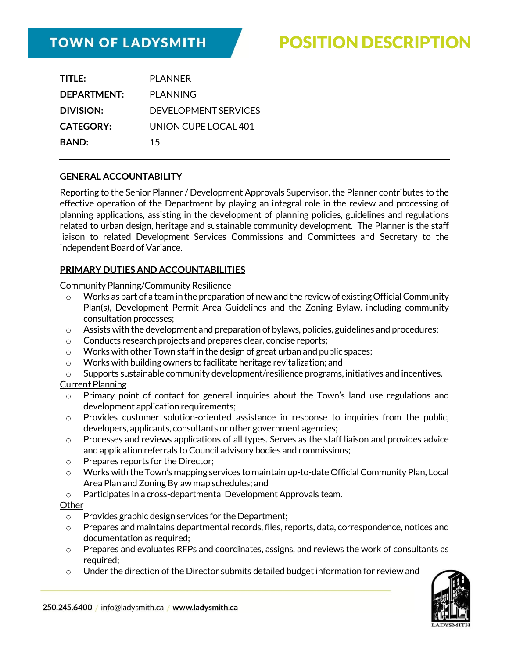# **TOWN OF LADYSMITH**

# POSITION DESCRIPTION

| TITLE:             | <b>PLANNER</b>       |
|--------------------|----------------------|
| <b>DEPARTMENT:</b> | <b>PLANNING</b>      |
| <b>DIVISION:</b>   | DEVELOPMENT SERVICES |
| <b>CATEGORY:</b>   | UNION CUPE LOCAL 401 |
| <b>BAND:</b>       | 15                   |
|                    |                      |

### **GENERAL ACCOUNTABILITY**

Reporting to the Senior Planner / Development Approvals Supervisor, the Planner contributes to the effective operation of the Department by playing an integral role in the review and processing of planning applications, assisting in the development of planning policies, guidelines and regulations related to urban design, heritage and sustainable community development. The Planner is the staff liaison to related Development Services Commissions and Committees and Secretary to the independent Board of Variance.

### **PRIMARY DUTIES AND ACCOUNTABILITIES**

Community Planning/Community Resilience

- $\circ$  Works as part of a team in the preparation of new and the review of existing Official Community Plan(s), Development Permit Area Guidelines and the Zoning Bylaw, including community consultation processes;
- o Assists with the development and preparation of bylaws, policies, guidelines and procedures;
- o Conducts research projects and prepares clear, concise reports;
- o Works with other Town staff in the design of great urban and public spaces;
- o Works with building owners to facilitate heritage revitalization; and
- $\circ$  Supports sustainable community development/resilience programs, initiatives and incentives. Current Planning
	- $\circ$  Primary point of contact for general inquiries about the Town's land use regulations and development application requirements;
	- $\circ$  Provides customer solution-oriented assistance in response to inquiries from the public, developers, applicants, consultants or other government agencies;
	- $\circ$  Processes and reviews applications of all types. Serves as the staff liaison and provides advice and application referrals to Council advisory bodies and commissions;
	- o Prepares reports for the Director;
	- $\circ$  Works with the Town's mapping services to maintain up-to-date Official Community Plan, Local Area Plan and Zoning Bylaw map schedules; and
	- o Participates in a cross-departmental Development Approvals team.

#### **Other**

- o Provides graphic design services for the Department;
- $\circ$  Prepares and maintains departmental records, files, reports, data, correspondence, notices and documentation as required;
- $\circ$  Prepares and evaluates RFPs and coordinates, assigns, and reviews the work of consultants as required;
- $\circ$  Under the direction of the Director submits detailed budget information for review and

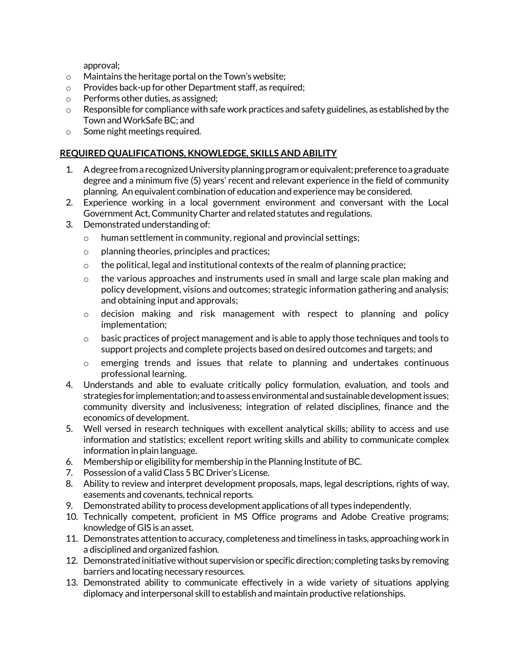approval;

- o Maintains the heritage portal on the Town's website;
- o Provides back-up for other Department staff, as required;
- o Performs other duties, as assigned;
- o Responsible for compliance with safe work practices and safety guidelines, as established by the Town and WorkSafe BC; and
- o Some night meetings required.

### **REQUIRED QUALIFICATIONS, KNOWLEDGE, SKILLS AND ABILITY**

- 1. A degree from a recognized University planning program or equivalent; preference to a graduate degree and a minimum five (5) years' recent and relevant experience in the field of community planning. An equivalent combination of education and experience may be considered.
- 2. Experience working in a local government environment and conversant with the Local Government Act, Community Charter and related statutes and regulations.
- 3. Demonstrated understanding of:
	- o human settlement in community, regional and provincial settings;
	- o planning theories, principles and practices;
	- o the political, legal and institutional contexts of the realm of planning practice;
	- $\circ$  the various approaches and instruments used in small and large scale plan making and policy development, visions and outcomes; strategic information gathering and analysis; and obtaining input and approvals;
	- $\circ$  decision making and risk management with respect to planning and policy implementation;
	- o basic practices of project management and is able to apply those techniques and tools to support projects and complete projects based on desired outcomes and targets; and
	- $\circ$  emerging trends and issues that relate to planning and undertakes continuous professional learning.
- 4. Understands and able to evaluate critically policy formulation, evaluation, and tools and strategies for implementation; and to assess environmental and sustainable development issues; community diversity and inclusiveness; integration of related disciplines, finance and the economics of development.
- 5. Well versed in research techniques with excellent analytical skills; ability to access and use information and statistics; excellent report writing skills and ability to communicate complex information in plain language.
- 6. Membership or eligibility for membership in the Planning Institute of BC.
- 7. Possession of a valid Class 5 BC Driver's License.
- 8. Ability to review and interpret development proposals, maps, legal descriptions, rights of way, easements and covenants, technical reports.
- 9. Demonstrated ability to process development applications of all types independently.
- 10. Technically competent, proficient in MS Office programs and Adobe Creative programs; knowledge of GIS is an asset.
- 11. Demonstrates attention to accuracy, completeness and timeliness in tasks, approaching work in a disciplined and organized fashion.
- 12. Demonstrated initiative without supervision or specific direction; completing tasks by removing barriers and locating necessary resources.
- 13. Demonstrated ability to communicate effectively in a wide variety of situations applying diplomacy and interpersonal skill to establish and maintain productive relationships.